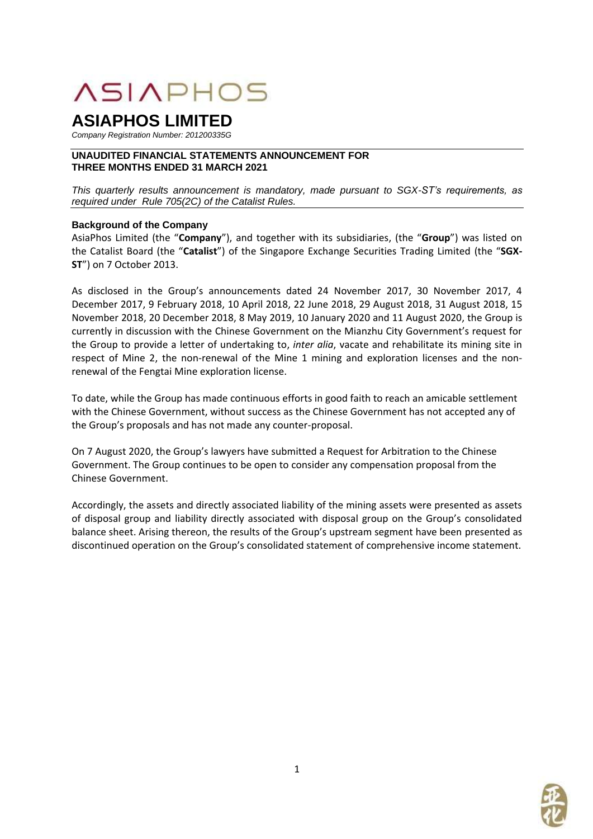# **ASIAPHOS**

# **ASIAPHOS LIMITED**

*Company Registration Number: 201200335G*

# **UNAUDITED FINANCIAL STATEMENTS ANNOUNCEMENT FOR THREE MONTHS ENDED 31 MARCH 2021**

*This quarterly results announcement is mandatory, made pursuant to SGX-ST's requirements, as required under Rule 705(2C) of the Catalist Rules.*

# **Background of the Company**

AsiaPhos Limited (the "**Company**"), and together with its subsidiaries, (the "**Group**") was listed on the Catalist Board (the "**Catalist**") of the Singapore Exchange Securities Trading Limited (the "**SGX-ST**") on 7 October 2013.

As disclosed in the Group's announcements dated 24 November 2017, 30 November 2017, 4 December 2017, 9 February 2018, 10 April 2018, 22 June 2018, 29 August 2018, 31 August 2018, 15 November 2018, 20 December 2018, 8 May 2019, 10 January 2020 and 11 August 2020, the Group is currently in discussion with the Chinese Government on the Mianzhu City Government's request for the Group to provide a letter of undertaking to, *inter alia*, vacate and rehabilitate its mining site in respect of Mine 2, the non-renewal of the Mine 1 mining and exploration licenses and the nonrenewal of the Fengtai Mine exploration license.

To date, while the Group has made continuous efforts in good faith to reach an amicable settlement with the Chinese Government, without success as the Chinese Government has not accepted any of the Group's proposals and has not made any counter-proposal.

On 7 August 2020, the Group's lawyers have submitted a Request for Arbitration to the Chinese Government. The Group continues to be open to consider any compensation proposal from the Chinese Government.

Accordingly, the assets and directly associated liability of the mining assets were presented as assets of disposal group and liability directly associated with disposal group on the Group's consolidated balance sheet. Arising thereon, the results of the Group's upstream segment have been presented as discontinued operation on the Group's consolidated statement of comprehensive income statement.

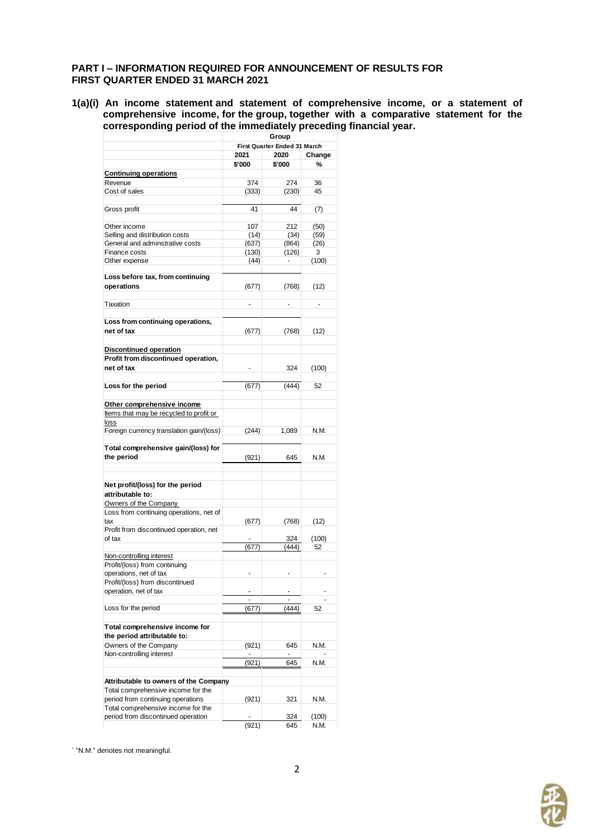#### **PART I – INFORMATION REQUIRED FOR ANNOUNCEMENT OF RESULTS FOR FIRST QUARTER ENDED 31 MARCH 2021**

**1(a)(i) An income statement and statement of comprehensive income, or a statement of comprehensive income, for the group, together with a comparative statement for the corresponding period of the immediately preceding financial year.**

|                                                      | Group        |                              |        |  |
|------------------------------------------------------|--------------|------------------------------|--------|--|
|                                                      |              | First Quarter Ended 31 March |        |  |
|                                                      | 2021<br>2020 |                              | Change |  |
|                                                      | \$'000       | \$'000                       | %      |  |
| <b>Continuing operations</b>                         |              |                              |        |  |
| Revenue                                              | 374          | 274                          | 36     |  |
| Cost of sales                                        | (333)        | (230)                        | 45     |  |
|                                                      |              |                              |        |  |
| Gross profit                                         | 41           | 44                           | (7)    |  |
|                                                      |              |                              |        |  |
| Other income                                         | 107          | 212                          | (50)   |  |
| Selling and distribution costs                       | (14)         | (34)                         | (59)   |  |
| General and adminstrative costs                      | (637)        | (864)                        | (26)   |  |
| Finance costs                                        | (130)        | (126)                        | 3      |  |
| Other expense                                        | (44)         |                              | (100)  |  |
|                                                      |              |                              |        |  |
| Loss before tax, from continuing<br>operations       | (677)        | (768)                        | (12)   |  |
|                                                      |              |                              |        |  |
| Taxation                                             |              |                              |        |  |
|                                                      |              |                              |        |  |
| Loss from continuing operations,<br>net of tax       |              |                              |        |  |
|                                                      | (677)        | (768)                        | (12)   |  |
| <b>Discontinued operation</b>                        |              |                              |        |  |
| Profit from discontinued operation,                  |              |                              |        |  |
| net of tax                                           |              | 324                          | (100)  |  |
|                                                      |              |                              |        |  |
| Loss for the period                                  | (677)        | (444)                        | 52     |  |
|                                                      |              |                              |        |  |
| Other comprehensive income                           |              |                              |        |  |
| Items that may be recycled to profit or              |              |                              |        |  |
| loss                                                 |              |                              |        |  |
| Foreign currency translation gain/(loss)             | (244)        | 1,089                        | N.M.   |  |
| Total comprehensive gain/(loss) for                  |              |                              |        |  |
| the period                                           | (921)        | 645                          | N.M.   |  |
|                                                      |              |                              |        |  |
|                                                      |              |                              |        |  |
| Net profit/(loss) for the period<br>attributable to: |              |                              |        |  |
| Owners of the Company                                |              |                              |        |  |
| Loss from continuing operations, net of              |              |                              |        |  |
|                                                      | (677)        |                              |        |  |
| tax<br>Profit from discontinued operation, net       |              | (768)                        | (12)   |  |
| of tax                                               |              |                              |        |  |
|                                                      |              | 324                          | (100)  |  |
|                                                      | (677)        | (444)                        | 52     |  |
| Non-controlling interest                             |              |                              |        |  |
| Profit/(loss) from continuing                        |              |                              |        |  |
| operations, net of tax                               |              |                              |        |  |
| Profit/(loss) from discontinued                      |              |                              |        |  |
| operation, net of tax                                |              |                              |        |  |
| Loss for the period                                  | (677)        | (444)                        | 52     |  |
|                                                      |              |                              |        |  |
| Total comprehensive income for                       |              |                              |        |  |
| the period attributable to:                          |              |                              |        |  |
| Owners of the Company                                | (921)        | 645                          | N.M.   |  |
| Non-controlling interest                             |              |                              |        |  |
|                                                      | (921)        | 645                          | N.M.   |  |
|                                                      |              |                              |        |  |
| Attributable to owners of the Company                |              |                              |        |  |
| Total comprehensive income for the                   |              |                              |        |  |
| period from continuing operations                    | (921)        | 321                          | N.M.   |  |
| Total comprehensive income for the                   |              |                              |        |  |
| period from discontinued operation                   |              | 324                          | (100)  |  |
|                                                      | (921)        | 645                          | N.M.   |  |

` "N.M." denotes not meaningful.

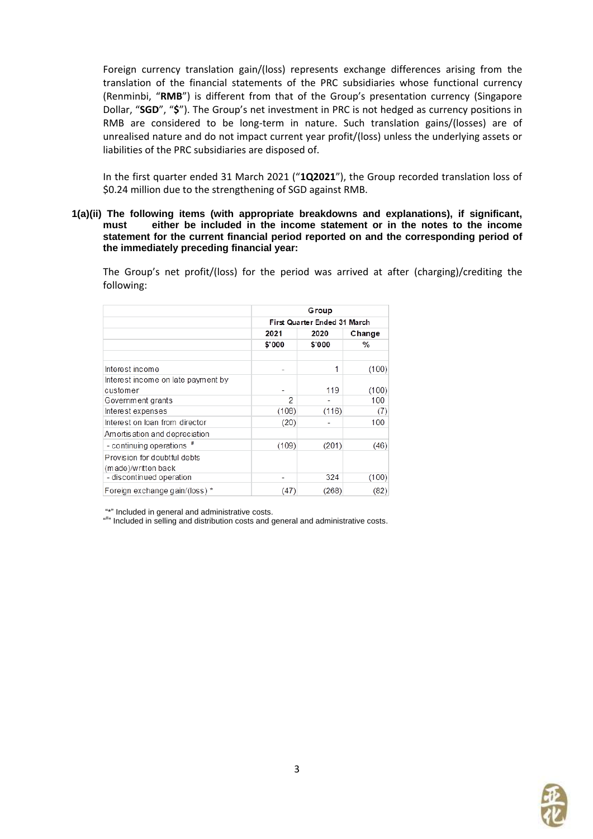Foreign currency translation gain/(loss) represents exchange differences arising from the translation of the financial statements of the PRC subsidiaries whose functional currency (Renminbi, "**RMB**") is different from that of the Group's presentation currency (Singapore Dollar, "**SGD**", "**\$**"). The Group's net investment in PRC is not hedged as currency positions in RMB are considered to be long-term in nature. Such translation gains/(losses) are of unrealised nature and do not impact current year profit/(loss) unless the underlying assets or liabilities of the PRC subsidiaries are disposed of.

In the first quarter ended 31 March 2021 ("**1Q2021**"), the Group recorded translation loss of \$0.24 million due to the strengthening of SGD against RMB.

**1(a)(ii) The following items (with appropriate breakdowns and explanations), if significant, must either be included in the income statement or in the notes to the income statement for the current financial period reported on and the corresponding period of the immediately preceding financial year:**

The Group's net profit/(loss) for the period was arrived at after (charging)/crediting the following:

|                                                     | Group                        |        |        |  |  |
|-----------------------------------------------------|------------------------------|--------|--------|--|--|
|                                                     | First Quarter Ended 31 March |        |        |  |  |
|                                                     | 2021                         | 2020   | Change |  |  |
|                                                     | \$'000                       | \$'000 | %      |  |  |
| Interest income                                     |                              | 1      | (100)  |  |  |
| Interest income on late payment by                  |                              |        |        |  |  |
| customer                                            |                              | 119    | (100)  |  |  |
| Government grants                                   | 2                            |        | 100    |  |  |
| Interest expenses                                   | (108)                        | (116)  | (7)    |  |  |
| Interest on loan from director                      | (20)                         |        | 100    |  |  |
| Amortis ation and depreciation                      |                              |        |        |  |  |
| - continuing operations #                           | (109)                        | (201)  | (46)   |  |  |
| Provision for doubtful debts<br>(made)/written back |                              |        |        |  |  |
| - discontinued operation                            |                              | 324    | (100)  |  |  |
| Foreign exchange gain/(loss) *                      | (47)                         | (268)  | (82)   |  |  |

"\*" Included in general and administrative costs.

"<sup>#"</sup> Included in selling and distribution costs and general and administrative costs.

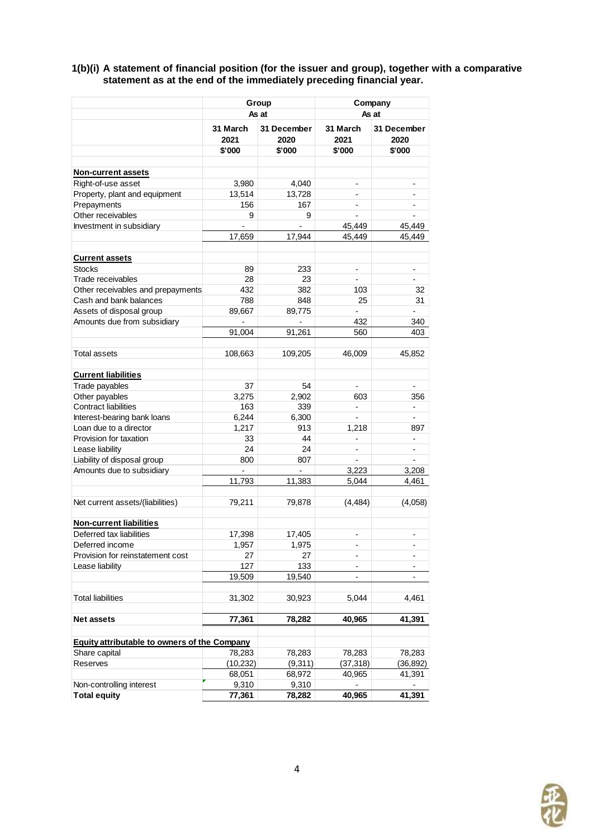**1(b)(i) A statement of financial position (for the issuer and group), together with a comparative statement as at the end of the immediately preceding financial year.**

|                                                             | Group            |                            | Company                  |                          |  |
|-------------------------------------------------------------|------------------|----------------------------|--------------------------|--------------------------|--|
|                                                             |                  | As at                      | As at                    |                          |  |
|                                                             | 31 March<br>2021 | <b>31 December</b><br>2020 | 31 March<br>2021         | 31 December<br>2020      |  |
|                                                             | \$'000           | \$'000                     | \$'000                   | \$'000                   |  |
|                                                             |                  |                            |                          |                          |  |
| Non-current assets                                          |                  |                            |                          |                          |  |
| Right-of-use asset                                          | 3,980            | 4,040                      | $\overline{a}$           | $\overline{\phantom{0}}$ |  |
| Property, plant and equipment                               | 13,514           | 13,728                     |                          |                          |  |
| Prepayments                                                 | 156              | 167                        | $\overline{a}$           | $\overline{\phantom{0}}$ |  |
| Other receivables                                           | 9                | 9                          |                          |                          |  |
| Investment in subsidiary                                    |                  |                            | 45,449                   | 45,449                   |  |
|                                                             | 17,659           | 17,944                     | 45,449                   | 45,449                   |  |
| <b>Current assets</b>                                       |                  |                            |                          |                          |  |
| <b>Stocks</b>                                               | 89               | 233                        |                          |                          |  |
| Trade receivables                                           | 28               | 23                         | $\overline{a}$           | $\overline{a}$           |  |
|                                                             | 432              | 382                        | 103                      | 32                       |  |
| Other receivables and prepayments<br>Cash and bank balances | 788              | 848                        | 25                       | 31                       |  |
| Assets of disposal group                                    | 89,667           | 89,775                     |                          | $\overline{a}$           |  |
| Amounts due from subsidiary                                 |                  |                            | 432                      | 340                      |  |
|                                                             | 91,004           | 91,261                     | 560                      | 403                      |  |
|                                                             |                  |                            |                          |                          |  |
| Total assets                                                | 108,663          | 109,205                    | 46,009                   | 45,852                   |  |
| <b>Current liabilities</b>                                  |                  |                            |                          |                          |  |
| Trade payables                                              | 37               | 54                         | $\overline{a}$           | $\overline{\phantom{a}}$ |  |
| Other payables                                              | 3,275            | 2,902                      | 603                      | 356                      |  |
| <b>Contract liabilities</b>                                 | 163              | 339                        | $\frac{1}{2}$            | $\overline{\phantom{a}}$ |  |
| Interest-bearing bank loans                                 | 6,244            | 6,300                      |                          |                          |  |
| Loan due to a director                                      | 1,217            | 913                        | 1,218                    | 897                      |  |
| Provision for taxation                                      | 33               | 44                         |                          |                          |  |
| Lease liability                                             | 24               | 24                         | $\overline{a}$           | $\overline{\phantom{a}}$ |  |
| Liability of disposal group                                 | 800              | 807                        |                          |                          |  |
| Amounts due to subsidiary                                   |                  |                            | 3,223                    | 3,208                    |  |
|                                                             | 11,793           | 11,383                     | 5,044                    | 4,461                    |  |
|                                                             |                  |                            |                          |                          |  |
| Net current assets/(liabilities)                            | 79,211           | 79,878                     | (4, 484)                 | (4,058)                  |  |
| <b>Non-current liabilities</b>                              |                  |                            |                          |                          |  |
| Deferred tax liabilities                                    | 17,398           | 17,405                     | $\overline{\phantom{0}}$ | -                        |  |
| Deferred income                                             | 1,957            | 1,975                      | $\overline{a}$           |                          |  |
| Provision for reinstatement cost                            | 27               | 27                         |                          | -                        |  |
| Lease liability                                             | 127              | 133                        | $\overline{a}$           | $\overline{\phantom{0}}$ |  |
|                                                             | 19,509           | 19,540                     | -                        |                          |  |
| <b>Total liabilities</b>                                    | 31,302           | 30,923                     | 5,044                    | 4,461                    |  |
|                                                             |                  |                            |                          |                          |  |
| <b>Net assets</b>                                           | 77,361           | 78,282                     | 40,965                   | 41.391                   |  |
| Equity attributable to owners of the Company                |                  |                            |                          |                          |  |
| Share capital                                               | 78,283           | 78,283                     | 78,283                   | 78,283                   |  |
| Reserves                                                    | (10, 232)        | (9,311)                    | (37, 318)                | (36, 892)                |  |
|                                                             | 68,051           | 68,972                     | 40,965                   | 41,391                   |  |
| Non-controlling interest                                    | 9,310            | 9,310                      |                          |                          |  |
| <b>Total equity</b>                                         | 77,361           | 78,282                     | 40,965                   | 41,391                   |  |

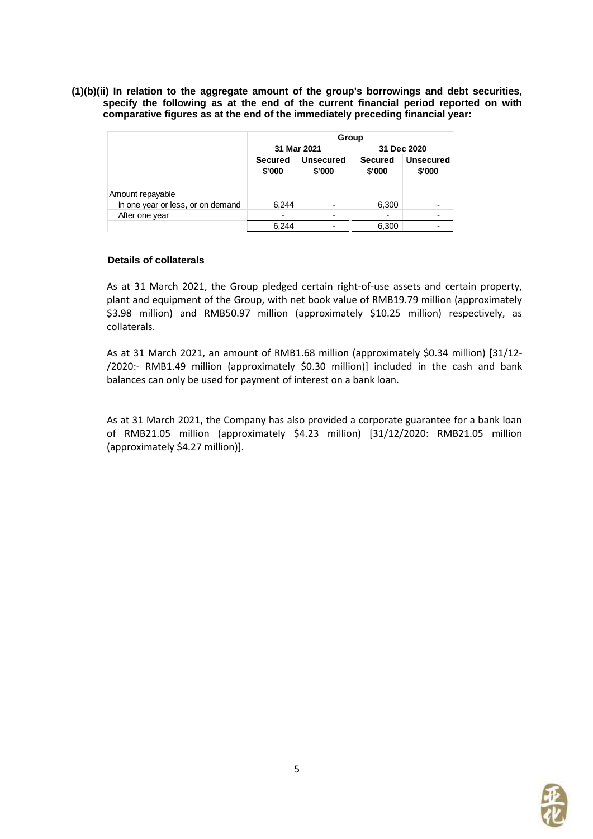**(1)(b)(ii) In relation to the aggregate amount of the group's borrowings and debt securities, specify the following as at the end of the current financial period reported on with comparative figures as at the end of the immediately preceding financial year:**

|                                   | Group                                                  |                          |                |                  |  |
|-----------------------------------|--------------------------------------------------------|--------------------------|----------------|------------------|--|
|                                   |                                                        | 31 Mar 2021              |                | 31 Dec 2020      |  |
|                                   | <b>Unsecured</b><br><b>Secured</b><br>\$'000<br>\$'000 |                          | <b>Secured</b> | <b>Unsecured</b> |  |
|                                   |                                                        |                          | \$'000         | \$'000           |  |
| Amount repayable                  |                                                        |                          |                |                  |  |
| In one year or less, or on demand | 6,244                                                  | $\overline{\phantom{0}}$ | 6,300          |                  |  |
| After one year                    |                                                        |                          | -              |                  |  |
|                                   | 6.244                                                  |                          | 6,300          |                  |  |

#### **Details of collaterals**

As at 31 March 2021, the Group pledged certain right-of-use assets and certain property, plant and equipment of the Group, with net book value of RMB19.79 million (approximately \$3.98 million) and RMB50.97 million (approximately \$10.25 million) respectively, as collaterals.

As at 31 March 2021, an amount of RMB1.68 million (approximately \$0.34 million) [31/12- /2020:- RMB1.49 million (approximately \$0.30 million)] included in the cash and bank balances can only be used for payment of interest on a bank loan.

As at 31 March 2021, the Company has also provided a corporate guarantee for a bank loan of RMB21.05 million (approximately \$4.23 million) [31/12/2020: RMB21.05 million (approximately \$4.27 million)].

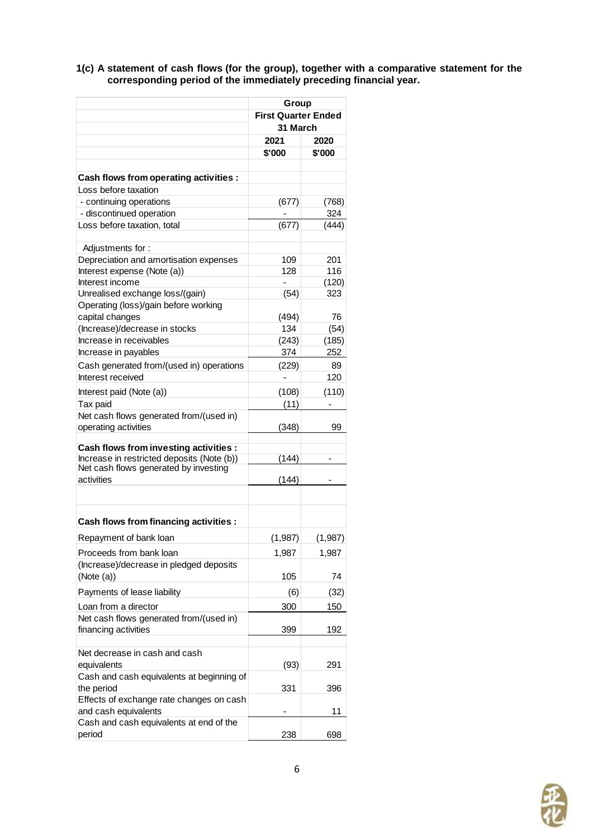**1(c) A statement of cash flows (for the group), together with a comparative statement for the corresponding period of the immediately preceding financial year.**

|                                                                 | Group                      |          |  |
|-----------------------------------------------------------------|----------------------------|----------|--|
|                                                                 | <b>First Quarter Ended</b> |          |  |
|                                                                 | 31 March                   |          |  |
|                                                                 | 2021                       | 2020     |  |
|                                                                 | \$'000                     | \$'000   |  |
|                                                                 |                            |          |  |
| Cash flows from operating activities :                          |                            |          |  |
| Loss before taxation                                            |                            |          |  |
| - continuing operations                                         | (677)                      | (768)    |  |
| - discontinued operation                                        |                            | 324      |  |
| Loss before taxation, total                                     | (677)                      | (444)    |  |
|                                                                 |                            |          |  |
| Adjustments for:                                                |                            |          |  |
| Depreciation and amortisation expenses                          | 109                        | 201      |  |
| Interest expense (Note (a))                                     | 128                        | 116      |  |
| Interest income                                                 |                            | (120)    |  |
| Unrealised exchange loss/(gain)                                 | (54)                       | 323      |  |
| Operating (loss)/gain before working                            |                            |          |  |
| capital changes                                                 | (494)                      | 76       |  |
| (Increase)/decrease in stocks                                   | 134                        | (54)     |  |
| Increase in receivables                                         | (243)                      | (185)    |  |
| Increase in payables                                            | 374                        | 252      |  |
| Cash generated from/(used in) operations                        | (229)                      | 89       |  |
| Interest received                                               |                            | 120      |  |
| Interest paid (Note (a))                                        | (108)                      | (110)    |  |
| Tax paid                                                        | (11)                       |          |  |
| Net cash flows generated from/(used in)                         |                            |          |  |
| operating activities                                            | (348)                      | 99       |  |
|                                                                 |                            |          |  |
| Cash flows from investing activities :                          |                            |          |  |
| Increase in restricted deposits (Note (b))                      | (144)                      |          |  |
| Net cash flows generated by investing                           |                            |          |  |
| activities                                                      | (144)                      |          |  |
|                                                                 |                            |          |  |
|                                                                 |                            |          |  |
| Cash flows from financing activities :                          |                            |          |  |
| Repayment of bank loan                                          | (1, 987)                   | (1, 987) |  |
| Proceeds from bank loan                                         |                            |          |  |
| (Increase)/decrease in pledged deposits                         | 1,987                      | 1,987    |  |
| (Note (a))                                                      | 105                        | 74       |  |
|                                                                 |                            |          |  |
| Payments of lease liability                                     | (6)                        | (32)     |  |
| Loan from a director                                            | 300                        | 150      |  |
| Net cash flows generated from/(used in)                         |                            |          |  |
| financing activities                                            | 399                        | 192      |  |
|                                                                 |                            |          |  |
| Net decrease in cash and cash                                   |                            |          |  |
| equivalents                                                     | (93)                       | 291      |  |
| Cash and cash equivalents at beginning of                       |                            |          |  |
| the period                                                      | 331                        | 396      |  |
| Effects of exchange rate changes on cash                        |                            |          |  |
| and cash equivalents<br>Cash and cash equivalents at end of the |                            | 11       |  |
| period                                                          | 238                        | 698      |  |
|                                                                 |                            |          |  |

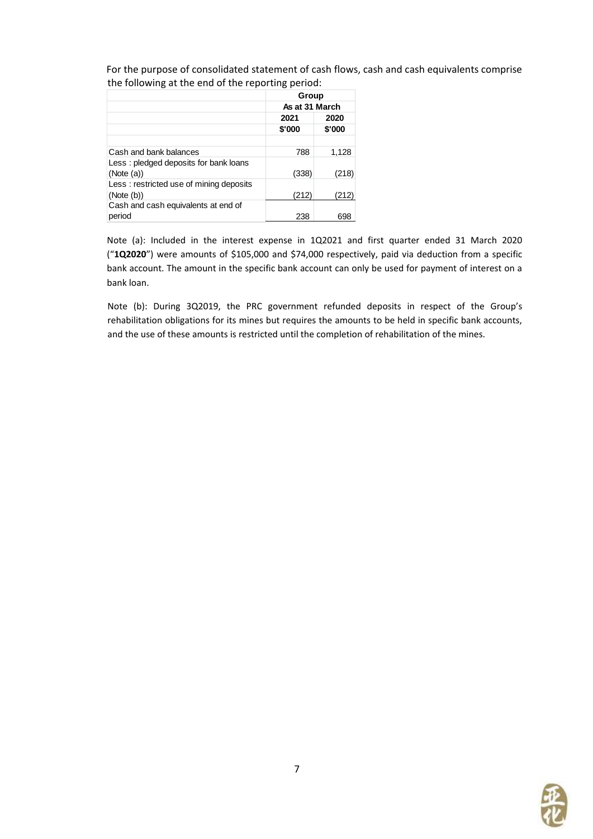For the purpose of consolidated statement of cash flows, cash and cash equivalents comprise the following at the end of the reporting period:

|                                         | Group<br>As at 31 March |        |  |
|-----------------------------------------|-------------------------|--------|--|
|                                         |                         |        |  |
|                                         | 2021                    | 2020   |  |
|                                         | \$'000                  | \$'000 |  |
|                                         |                         |        |  |
| Cash and bank balances                  | 788                     | 1,128  |  |
| Less: pledged deposits for bank loans   |                         |        |  |
| (Note (a))                              | (338)                   | (218)  |  |
| Less: restricted use of mining deposits |                         |        |  |
| (Note (b))                              | (212)                   | (212)  |  |
| Cash and cash equivalents at end of     |                         |        |  |
| period                                  | 238                     | 698    |  |

Note (a): Included in the interest expense in 1Q2021 and first quarter ended 31 March 2020 ("**1Q2020**") were amounts of \$105,000 and \$74,000 respectively, paid via deduction from a specific bank account. The amount in the specific bank account can only be used for payment of interest on a bank loan.

Note (b): During 3Q2019, the PRC government refunded deposits in respect of the Group's rehabilitation obligations for its mines but requires the amounts to be held in specific bank accounts, and the use of these amounts is restricted until the completion of rehabilitation of the mines.

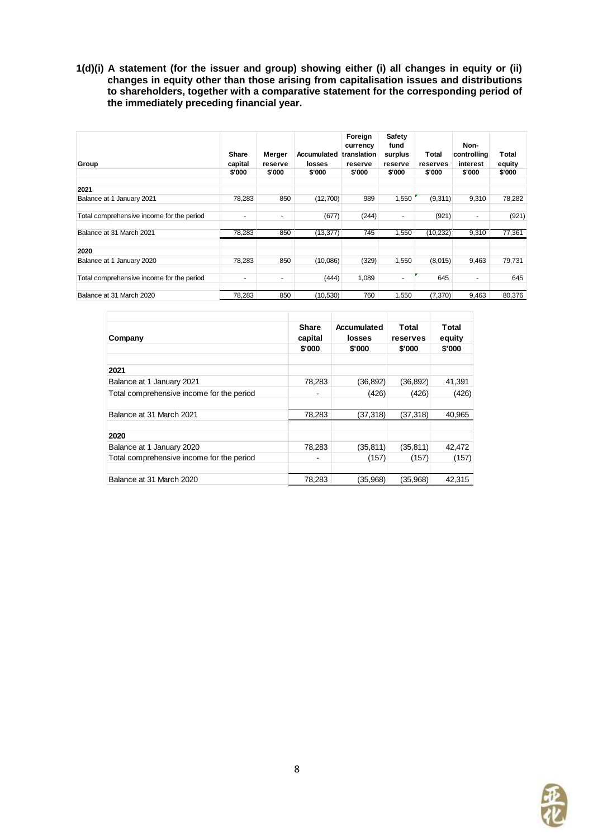**1(d)(i) A statement (for the issuer and group) showing either (i) all changes in equity or (ii) changes in equity other than those arising from capitalisation issues and distributions to shareholders, together with a comparative statement for the corresponding period of the immediately preceding financial year.**

| Group                                     | <b>Share</b><br>capital<br>\$'000 | Merger<br>reserve<br>\$'000 | <b>Accumulated</b><br>losses<br>\$'000 | Foreign<br>currency<br>translation<br>reserve<br>\$'000 | <b>Safety</b><br>fund<br>surplus<br>reserve<br>\$'000 | Total<br>reserves<br>\$'000 | Non-<br>controlling<br>interest<br>\$'000 | Total<br>equity<br>\$'000 |
|-------------------------------------------|-----------------------------------|-----------------------------|----------------------------------------|---------------------------------------------------------|-------------------------------------------------------|-----------------------------|-------------------------------------------|---------------------------|
| 2021                                      |                                   |                             |                                        |                                                         |                                                       |                             |                                           |                           |
| Balance at 1 January 2021                 | 78,283                            | 850                         | (12,700)                               | 989                                                     | 1,550                                                 | (9,311)                     | 9,310                                     | 78,282                    |
| Total comprehensive income for the period | $\overline{\phantom{a}}$          | ٠                           | (677)                                  | (244)                                                   | $\overline{\phantom{a}}$                              | (921)                       | ٠                                         | (921)                     |
| Balance at 31 March 2021                  | 78,283                            | 850                         | (13, 377)                              | 745                                                     | 1,550                                                 | (10, 232)                   | 9,310                                     | 77,361                    |
| 2020                                      |                                   |                             |                                        |                                                         |                                                       |                             |                                           |                           |
| Balance at 1 January 2020                 | 78,283                            | 850                         | (10,086)                               | (329)                                                   | 1,550                                                 | (8,015)                     | 9,463                                     | 79,731                    |
| Total comprehensive income for the period | $\overline{\phantom{a}}$          | ۰                           | (444)                                  | 1,089                                                   | $\overline{\phantom{a}}$                              | 645                         | ٠                                         | 645                       |
| Balance at 31 March 2020                  | 78.283                            | 850                         | (10.530)                               | 760                                                     | 1.550                                                 | (7,370)                     | 9,463                                     | 80,376                    |

| Company                                   | <b>Share</b><br>capital | Accumulated<br>losses | Total<br>reserves | Total<br>equity |
|-------------------------------------------|-------------------------|-----------------------|-------------------|-----------------|
|                                           |                         |                       |                   |                 |
|                                           | \$'000                  | \$'000                | \$'000            | \$'000          |
| 2021                                      |                         |                       |                   |                 |
| Balance at 1 January 2021                 | 78,283                  | (36, 892)             | (36, 892)         | 41,391          |
| Total comprehensive income for the period |                         | (426)                 | (426)             | (426)           |
| Balance at 31 March 2021                  |                         |                       |                   |                 |
|                                           | 78,283                  | (37,318)              | (37, 318)         | 40,965          |
| 2020                                      |                         |                       |                   |                 |
| Balance at 1 January 2020                 | 78.283                  | (35, 811)             | (35, 811)         | 42,472          |
| Total comprehensive income for the period |                         | (157)                 | (157)             | (157)           |
| Balance at 31 March 2020                  | 78,283                  | (35,968)              | (35,968)          | 42.315          |

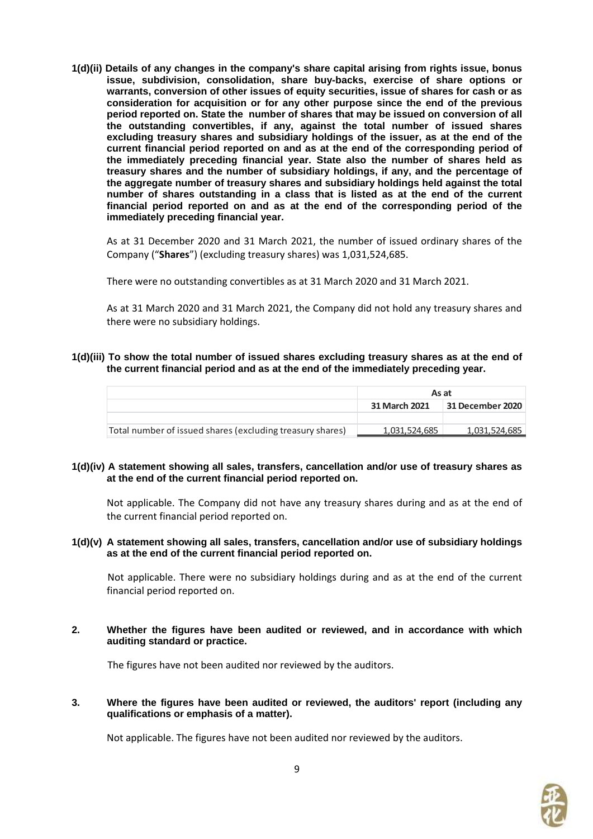**1(d)(ii) Details of any changes in the company's share capital arising from rights issue, bonus issue, subdivision, consolidation, share buy-backs, exercise of share options or warrants, conversion of other issues of equity securities, issue of shares for cash or as consideration for acquisition or for any other purpose since the end of the previous period reported on. State the number of shares that may be issued on conversion of all the outstanding convertibles, if any, against the total number of issued shares excluding treasury shares and subsidiary holdings of the issuer, as at the end of the current financial period reported on and as at the end of the corresponding period of the immediately preceding financial year. State also the number of shares held as treasury shares and the number of subsidiary holdings, if any, and the percentage of the aggregate number of treasury shares and subsidiary holdings held against the total number of shares outstanding in a class that is listed as at the end of the current financial period reported on and as at the end of the corresponding period of the immediately preceding financial year.**

As at 31 December 2020 and 31 March 2021, the number of issued ordinary shares of the Company ("**Shares**") (excluding treasury shares) was 1,031,524,685.

There were no outstanding convertibles as at 31 March 2020 and 31 March 2021.

As at 31 March 2020 and 31 March 2021, the Company did not hold any treasury shares and there were no subsidiary holdings.

#### **1(d)(iii) To show the total number of issued shares excluding treasury shares as at the end of the current financial period and as at the end of the immediately preceding year.**

|                                                           | As at                             |               |  |  |
|-----------------------------------------------------------|-----------------------------------|---------------|--|--|
|                                                           | 31 December 2020<br>31 March 2021 |               |  |  |
|                                                           |                                   |               |  |  |
| Total number of issued shares (excluding treasury shares) | 1,031,524,685                     | 1,031,524,685 |  |  |

#### **1(d)(iv) A statement showing all sales, transfers, cancellation and/or use of treasury shares as at the end of the current financial period reported on.**

Not applicable. The Company did not have any treasury shares during and as at the end of the current financial period reported on.

#### **1(d)(v) A statement showing all sales, transfers, cancellation and/or use of subsidiary holdings as at the end of the current financial period reported on.**

Not applicable. There were no subsidiary holdings during and as at the end of the current financial period reported on.

**2. Whether the figures have been audited or reviewed, and in accordance with which auditing standard or practice.**

The figures have not been audited nor reviewed by the auditors.

#### **3. Where the figures have been audited or reviewed, the auditors' report (including any qualifications or emphasis of a matter).**

Not applicable. The figures have not been audited nor reviewed by the auditors.

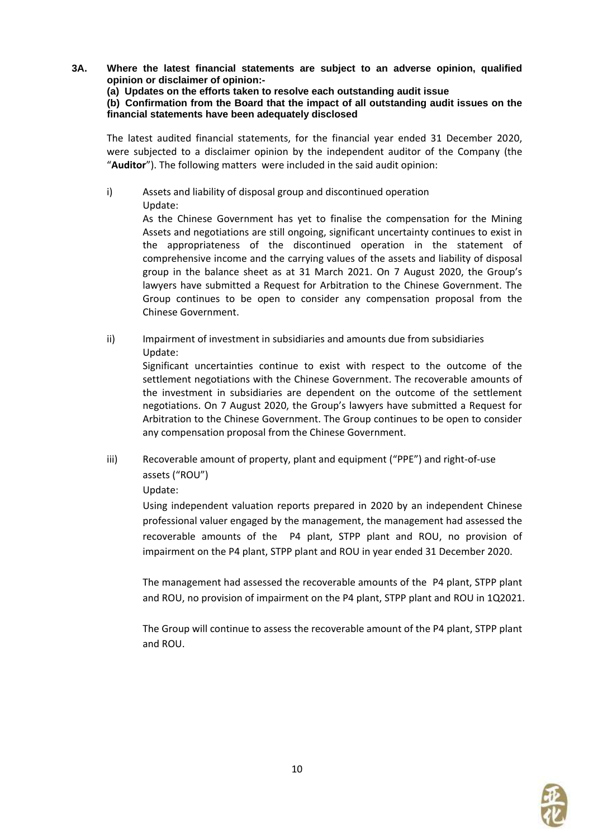- **3A. Where the latest financial statements are subject to an adverse opinion, qualified opinion or disclaimer of opinion:-**
	- **(a) Updates on the efforts taken to resolve each outstanding audit issue**

**(b) Confirmation from the Board that the impact of all outstanding audit issues on the financial statements have been adequately disclosed**

The latest audited financial statements, for the financial year ended 31 December 2020, were subjected to a disclaimer opinion by the independent auditor of the Company (the "**Auditor**"). The following matters were included in the said audit opinion:

i) Assets and liability of disposal group and discontinued operation Update:

> As the Chinese Government has yet to finalise the compensation for the Mining Assets and negotiations are still ongoing, significant uncertainty continues to exist in the appropriateness of the discontinued operation in the statement of comprehensive income and the carrying values of the assets and liability of disposal group in the balance sheet as at 31 March 2021. On 7 August 2020, the Group's lawyers have submitted a Request for Arbitration to the Chinese Government. The Group continues to be open to consider any compensation proposal from the Chinese Government.

ii) Impairment of investment in subsidiaries and amounts due from subsidiaries Update:

Significant uncertainties continue to exist with respect to the outcome of the settlement negotiations with the Chinese Government. The recoverable amounts of the investment in subsidiaries are dependent on the outcome of the settlement negotiations. On 7 August 2020, the Group's lawyers have submitted a Request for Arbitration to the Chinese Government. The Group continues to be open to consider any compensation proposal from the Chinese Government.

iii) Recoverable amount of property, plant and equipment ("PPE") and right-of-use assets ("ROU")

# Update:

Using independent valuation reports prepared in 2020 by an independent Chinese professional valuer engaged by the management, the management had assessed the recoverable amounts of the P4 plant, STPP plant and ROU, no provision of impairment on the P4 plant, STPP plant and ROU in year ended 31 December 2020.

The management had assessed the recoverable amounts of the P4 plant, STPP plant and ROU, no provision of impairment on the P4 plant, STPP plant and ROU in 1Q2021.

The Group will continue to assess the recoverable amount of the P4 plant, STPP plant and ROU.

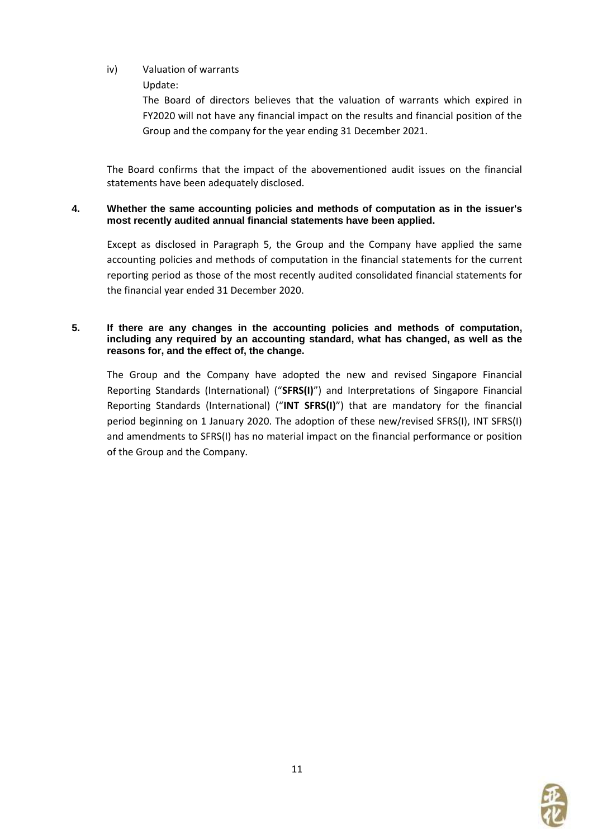# iv) Valuation of warrants

Update:

The Board of directors believes that the valuation of warrants which expired in FY2020 will not have any financial impact on the results and financial position of the Group and the company for the year ending 31 December 2021.

The Board confirms that the impact of the abovementioned audit issues on the financial statements have been adequately disclosed.

### **4. Whether the same accounting policies and methods of computation as in the issuer's most recently audited annual financial statements have been applied.**

Except as disclosed in Paragraph 5, the Group and the Company have applied the same accounting policies and methods of computation in the financial statements for the current reporting period as those of the most recently audited consolidated financial statements for the financial year ended 31 December 2020.

#### **5. If there are any changes in the accounting policies and methods of computation, including any required by an accounting standard, what has changed, as well as the reasons for, and the effect of, the change.**

The Group and the Company have adopted the new and revised Singapore Financial Reporting Standards (International) ("**SFRS(I)**") and Interpretations of Singapore Financial Reporting Standards (International) ("**INT SFRS(I)**") that are mandatory for the financial period beginning on 1 January 2020. The adoption of these new/revised SFRS(I), INT SFRS(I) and amendments to SFRS(I) has no material impact on the financial performance or position of the Group and the Company.

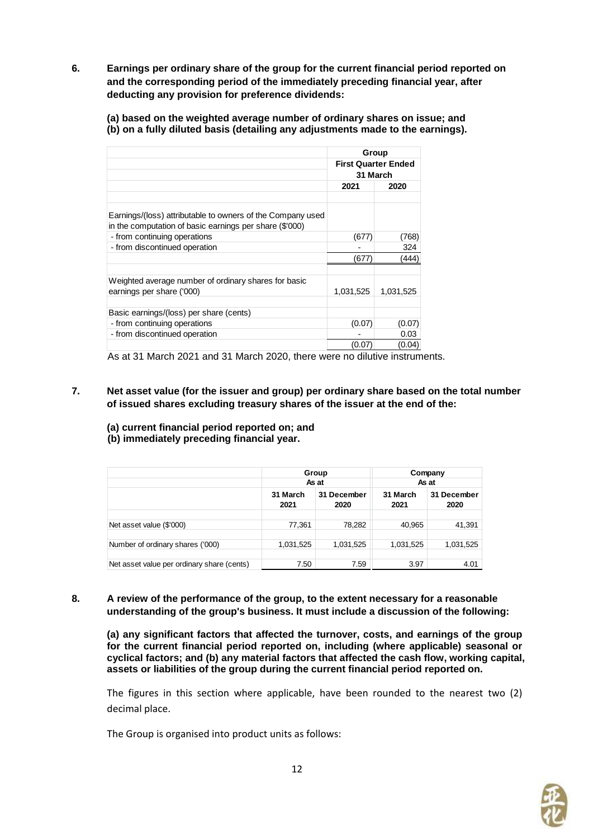**6. Earnings per ordinary share of the group for the current financial period reported on and the corresponding period of the immediately preceding financial year, after deducting any provision for preference dividends:**

**(a) based on the weighted average number of ordinary shares on issue; and (b) on a fully diluted basis (detailing any adjustments made to the earnings).**

| Group<br><b>First Quarter Ended</b> |           |  |
|-------------------------------------|-----------|--|
|                                     |           |  |
| 2021                                | 2020      |  |
|                                     |           |  |
|                                     |           |  |
|                                     |           |  |
| (677)                               | (768)     |  |
|                                     | 324       |  |
| (677)                               | (444)     |  |
|                                     |           |  |
|                                     |           |  |
| 1,031,525                           | 1,031,525 |  |
|                                     |           |  |
|                                     |           |  |
| (0.07)                              | (0.07)    |  |
|                                     | 0.03      |  |
| 0.07                                | (0.04)    |  |
|                                     |           |  |

As at 31 March 2021 and 31 March 2020, there were no dilutive instruments.

- **7. Net asset value (for the issuer and group) per ordinary share based on the total number of issued shares excluding treasury shares of the issuer at the end of the:**
	- **(a) current financial period reported on; and (b) immediately preceding financial year.**

|                                            |                                         | Group     | Company          |                     |  |
|--------------------------------------------|-----------------------------------------|-----------|------------------|---------------------|--|
|                                            |                                         | As at     | As at            |                     |  |
|                                            | 31 March<br>31 December<br>2020<br>2021 |           | 31 March<br>2021 | 31 December<br>2020 |  |
|                                            |                                         |           |                  |                     |  |
| Net asset value (\$'000)                   | 77,361                                  | 78,282    | 40,965           | 41,391              |  |
|                                            |                                         |           |                  |                     |  |
| Number of ordinary shares ('000)           | 1,031,525                               | 1,031,525 | 1,031,525        | 1,031,525           |  |
|                                            |                                         |           |                  |                     |  |
| Net asset value per ordinary share (cents) | 7.50                                    | 7.59      | 3.97             | 4.01                |  |

**8. A review of the performance of the group, to the extent necessary for a reasonable understanding of the group's business. It must include a discussion of the following:**

**(a) any significant factors that affected the turnover, costs, and earnings of the group for the current financial period reported on, including (where applicable) seasonal or cyclical factors; and (b) any material factors that affected the cash flow, working capital, assets or liabilities of the group during the current financial period reported on.**

The figures in this section where applicable, have been rounded to the nearest two (2) decimal place.

The Group is organised into product units as follows:

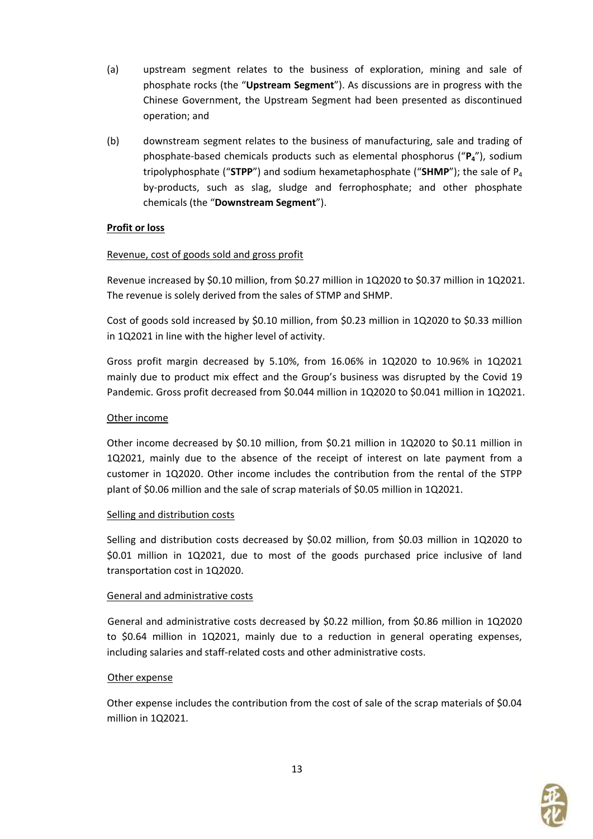- (a) upstream segment relates to the business of exploration, mining and sale of phosphate rocks (the "**Upstream Segment**"). As discussions are in progress with the Chinese Government, the Upstream Segment had been presented as discontinued operation; and
- (b) downstream segment relates to the business of manufacturing, sale and trading of phosphate-based chemicals products such as elemental phosphorus ("**P4**"), sodium tripolyphosphate ("**STPP**") and sodium hexametaphosphate ("**SHMP**"); the sale of P<sup>4</sup> by-products, such as slag, sludge and ferrophosphate; and other phosphate chemicals (the "**Downstream Segment**").

# **Profit or loss**

# Revenue, cost of goods sold and gross profit

Revenue increased by \$0.10 million, from \$0.27 million in 1Q2020 to \$0.37 million in 1Q2021. The revenue is solely derived from the sales of STMP and SHMP.

Cost of goods sold increased by \$0.10 million, from \$0.23 million in 1Q2020 to \$0.33 million in 1Q2021 in line with the higher level of activity.

Gross profit margin decreased by 5.10%, from 16.06% in 1Q2020 to 10.96% in 1Q2021 mainly due to product mix effect and the Group's business was disrupted by the Covid 19 Pandemic. Gross profit decreased from \$0.044 million in 1Q2020 to \$0.041 million in 1Q2021.

### Other income

Other income decreased by \$0.10 million, from \$0.21 million in 1Q2020 to \$0.11 million in 1Q2021, mainly due to the absence of the receipt of interest on late payment from a customer in 1Q2020. Other income includes the contribution from the rental of the STPP plant of \$0.06 million and the sale of scrap materials of \$0.05 million in 1Q2021.

#### Selling and distribution costs

Selling and distribution costs decreased by \$0.02 million, from \$0.03 million in 1Q2020 to \$0.01 million in 1Q2021, due to most of the goods purchased price inclusive of land transportation cost in 1Q2020.

#### General and administrative costs

General and administrative costs decreased by \$0.22 million, from \$0.86 million in 1Q2020 to \$0.64 million in 1Q2021, mainly due to a reduction in general operating expenses, including salaries and staff-related costs and other administrative costs.

#### Other expense

Other expense includes the contribution from the cost of sale of the scrap materials of \$0.04 million in 1Q2021.

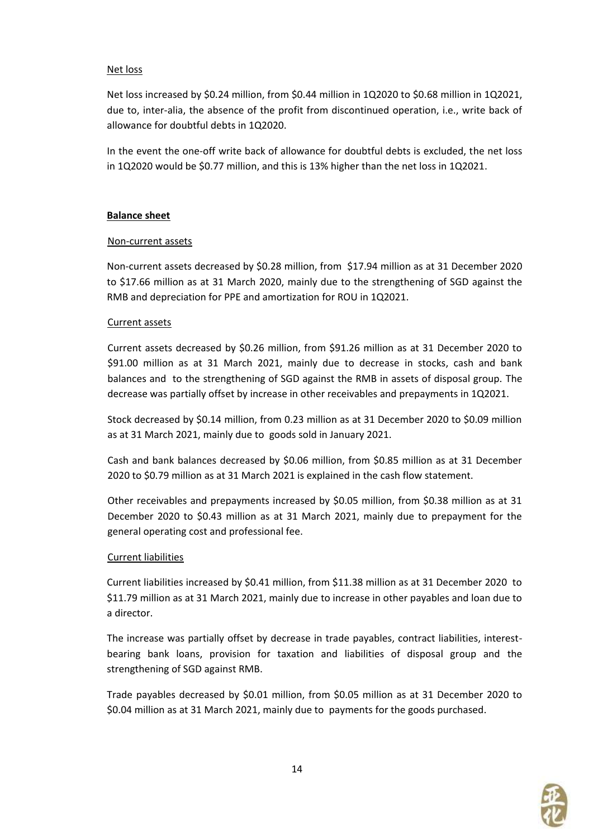#### Net loss

Net loss increased by \$0.24 million, from \$0.44 million in 1Q2020 to \$0.68 million in 1Q2021, due to, inter-alia, the absence of the profit from discontinued operation, i.e., write back of allowance for doubtful debts in 1Q2020.

In the event the one-off write back of allowance for doubtful debts is excluded, the net loss in 1Q2020 would be \$0.77 million, and this is 13% higher than the net loss in 1Q2021.

#### **Balance sheet**

#### Non-current assets

Non-current assets decreased by \$0.28 million, from \$17.94 million as at 31 December 2020 to \$17.66 million as at 31 March 2020, mainly due to the strengthening of SGD against the RMB and depreciation for PPE and amortization for ROU in 1Q2021.

# Current assets

Current assets decreased by \$0.26 million, from \$91.26 million as at 31 December 2020 to \$91.00 million as at 31 March 2021, mainly due to decrease in stocks, cash and bank balances and to the strengthening of SGD against the RMB in assets of disposal group. The decrease was partially offset by increase in other receivables and prepayments in 1Q2021.

Stock decreased by \$0.14 million, from 0.23 million as at 31 December 2020 to \$0.09 million as at 31 March 2021, mainly due to goods sold in January 2021.

Cash and bank balances decreased by \$0.06 million, from \$0.85 million as at 31 December 2020 to \$0.79 million as at 31 March 2021 is explained in the cash flow statement.

Other receivables and prepayments increased by \$0.05 million, from \$0.38 million as at 31 December 2020 to \$0.43 million as at 31 March 2021, mainly due to prepayment for the general operating cost and professional fee.

# Current liabilities

Current liabilities increased by \$0.41 million, from \$11.38 million as at 31 December 2020 to \$11.79 million as at 31 March 2021, mainly due to increase in other payables and loan due to a director.

The increase was partially offset by decrease in trade payables, contract liabilities, interestbearing bank loans, provision for taxation and liabilities of disposal group and the strengthening of SGD against RMB.

Trade payables decreased by \$0.01 million, from \$0.05 million as at 31 December 2020 to \$0.04 million as at 31 March 2021, mainly due to payments for the goods purchased.

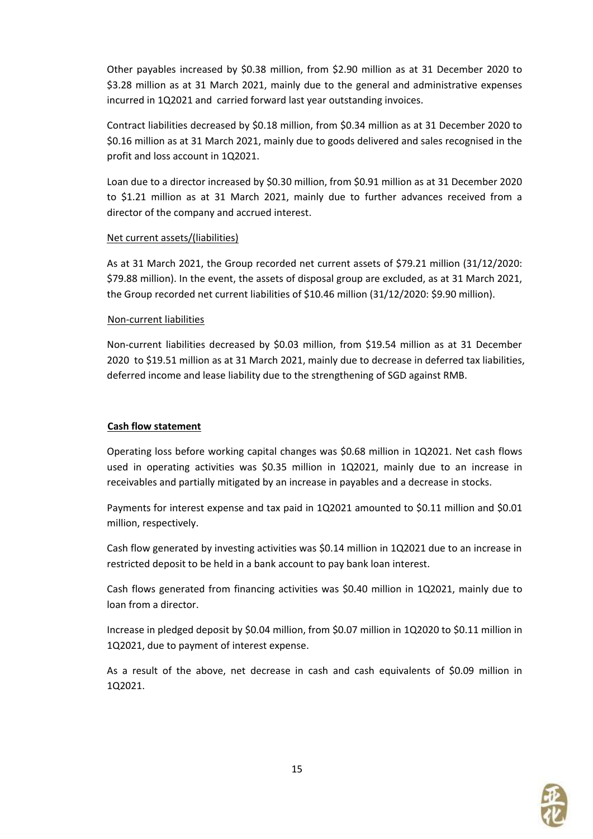Other payables increased by \$0.38 million, from \$2.90 million as at 31 December 2020 to \$3.28 million as at 31 March 2021, mainly due to the general and administrative expenses incurred in 1Q2021 and carried forward last year outstanding invoices.

Contract liabilities decreased by \$0.18 million, from \$0.34 million as at 31 December 2020 to \$0.16 million as at 31 March 2021, mainly due to goods delivered and sales recognised in the profit and loss account in 1Q2021.

Loan due to a director increased by \$0.30 million, from \$0.91 million as at 31 December 2020 to \$1.21 million as at 31 March 2021, mainly due to further advances received from a director of the company and accrued interest.

#### Net current assets/(liabilities)

As at 31 March 2021, the Group recorded net current assets of \$79.21 million (31/12/2020: \$79.88 million). In the event, the assets of disposal group are excluded, as at 31 March 2021, the Group recorded net current liabilities of \$10.46 million (31/12/2020: \$9.90 million).

#### Non-current liabilities

Non-current liabilities decreased by \$0.03 million, from \$19.54 million as at 31 December 2020 to \$19.51 million as at 31 March 2021, mainly due to decrease in deferred tax liabilities, deferred income and lease liability due to the strengthening of SGD against RMB.

#### **Cash flow statement**

Operating loss before working capital changes was \$0.68 million in 1Q2021. Net cash flows used in operating activities was \$0.35 million in 1Q2021, mainly due to an increase in receivables and partially mitigated by an increase in payables and a decrease in stocks.

Payments for interest expense and tax paid in 1Q2021 amounted to \$0.11 million and \$0.01 million, respectively.

Cash flow generated by investing activities was \$0.14 million in 1Q2021 due to an increase in restricted deposit to be held in a bank account to pay bank loan interest.

Cash flows generated from financing activities was \$0.40 million in 1Q2021, mainly due to loan from a director.

Increase in pledged deposit by \$0.04 million, from \$0.07 million in 1Q2020 to \$0.11 million in 1Q2021, due to payment of interest expense.

As a result of the above, net decrease in cash and cash equivalents of \$0.09 million in 1Q2021.

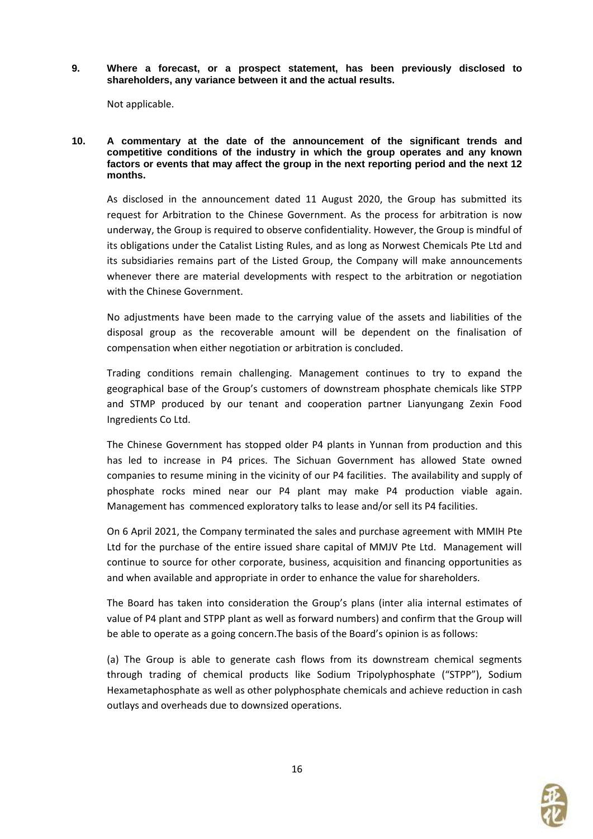**9. Where a forecast, or a prospect statement, has been previously disclosed to shareholders, any variance between it and the actual results.**

Not applicable.

**10. A commentary at the date of the announcement of the significant trends and competitive conditions of the industry in which the group operates and any known factors or events that may affect the group in the next reporting period and the next 12 months.**

As disclosed in the announcement dated 11 August 2020, the Group has submitted its request for Arbitration to the Chinese Government. As the process for arbitration is now underway, the Group is required to observe confidentiality. However, the Group is mindful of its obligations under the Catalist Listing Rules, and as long as Norwest Chemicals Pte Ltd and its subsidiaries remains part of the Listed Group, the Company will make announcements whenever there are material developments with respect to the arbitration or negotiation with the Chinese Government.

No adjustments have been made to the carrying value of the assets and liabilities of the disposal group as the recoverable amount will be dependent on the finalisation of compensation when either negotiation or arbitration is concluded.

Trading conditions remain challenging. Management continues to try to expand the geographical base of the Group's customers of downstream phosphate chemicals like STPP and STMP produced by our tenant and cooperation partner Lianyungang Zexin Food Ingredients Co Ltd.

The Chinese Government has stopped older P4 plants in Yunnan from production and this has led to increase in P4 prices. The Sichuan Government has allowed State owned companies to resume mining in the vicinity of our P4 facilities. The availability and supply of phosphate rocks mined near our P4 plant may make P4 production viable again. Management has commenced exploratory talks to lease and/or sell its P4 facilities.

On 6 April 2021, the Company terminated the sales and purchase agreement with MMIH Pte Ltd for the purchase of the entire issued share capital of MMJV Pte Ltd. Management will continue to source for other corporate, business, acquisition and financing opportunities as and when available and appropriate in order to enhance the value for shareholders.

The Board has taken into consideration the Group's plans (inter alia internal estimates of value of P4 plant and STPP plant as well as forward numbers) and confirm that the Group will be able to operate as a going concern.The basis of the Board's opinion is as follows:

(a) The Group is able to generate cash flows from its downstream chemical segments through trading of chemical products like Sodium Tripolyphosphate ("STPP"), Sodium Hexametaphosphate as well as other polyphosphate chemicals and achieve reduction in cash outlays and overheads due to downsized operations.

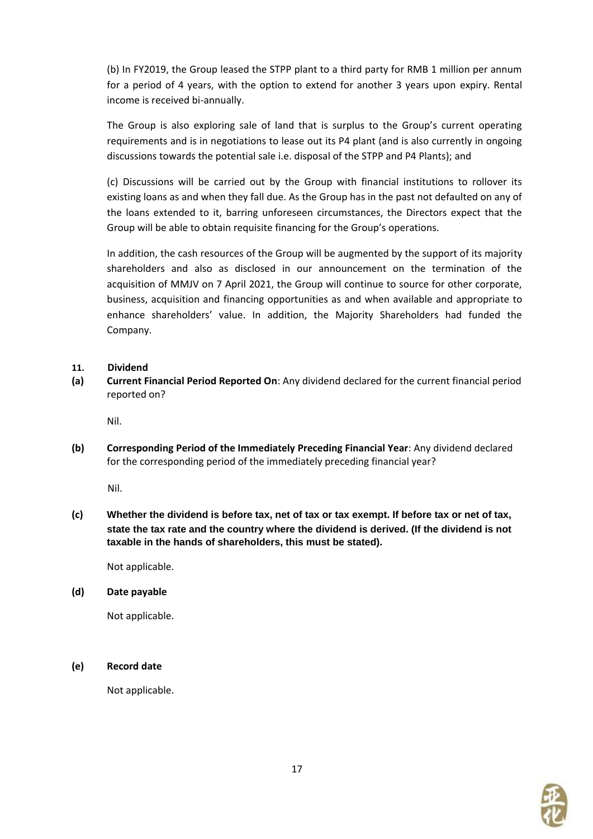(b) In FY2019, the Group leased the STPP plant to a third party for RMB 1 million per annum for a period of 4 years, with the option to extend for another 3 years upon expiry. Rental income is received bi-annually.

The Group is also exploring sale of land that is surplus to the Group's current operating requirements and is in negotiations to lease out its P4 plant (and is also currently in ongoing discussions towards the potential sale i.e. disposal of the STPP and P4 Plants); and

(c) Discussions will be carried out by the Group with financial institutions to rollover its existing loans as and when they fall due. As the Group has in the past not defaulted on any of the loans extended to it, barring unforeseen circumstances, the Directors expect that the Group will be able to obtain requisite financing for the Group's operations.

In addition, the cash resources of the Group will be augmented by the support of its majority shareholders and also as disclosed in our announcement on the termination of the acquisition of MMJV on 7 April 2021, the Group will continue to source for other corporate, business, acquisition and financing opportunities as and when available and appropriate to enhance shareholders' value. In addition, the Majority Shareholders had funded the Company.

#### **11. Dividend**

**(a) Current Financial Period Reported On**: Any dividend declared for the current financial period reported on?

Nil.

**(b) Corresponding Period of the Immediately Preceding Financial Year**: Any dividend declared for the corresponding period of the immediately preceding financial year?

Nil.

**(c) Whether the dividend is before tax, net of tax or tax exempt. If before tax or net of tax, state the tax rate and the country where the dividend is derived. (If the dividend is not taxable in the hands of shareholders, this must be stated).**

Not applicable.

#### **(d) Date payable**

Not applicable.

# **(e) Record date**

Not applicable.

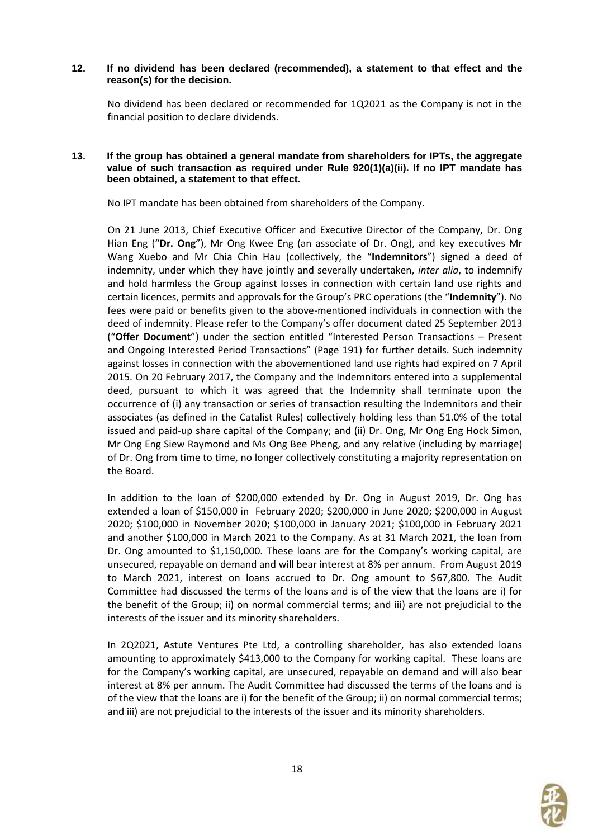#### **12. If no dividend has been declared (recommended), a statement to that effect and the reason(s) for the decision.**

No dividend has been declared or recommended for 1Q2021 as the Company is not in the financial position to declare dividends.

#### **13. If the group has obtained a general mandate from shareholders for IPTs, the aggregate value of such transaction as required under Rule 920(1)(a)(ii). If no IPT mandate has been obtained, a statement to that effect.**

No IPT mandate has been obtained from shareholders of the Company.

On 21 June 2013, Chief Executive Officer and Executive Director of the Company, Dr. Ong Hian Eng ("**Dr. Ong**"), Mr Ong Kwee Eng (an associate of Dr. Ong), and key executives Mr Wang Xuebo and Mr Chia Chin Hau (collectively, the "**Indemnitors**") signed a deed of indemnity, under which they have jointly and severally undertaken, *inter alia*, to indemnify and hold harmless the Group against losses in connection with certain land use rights and certain licences, permits and approvals for the Group's PRC operations (the "**Indemnity**"). No fees were paid or benefits given to the above-mentioned individuals in connection with the deed of indemnity. Please refer to the Company's offer document dated 25 September 2013 ("**Offer Document**") under the section entitled "Interested Person Transactions – Present and Ongoing Interested Period Transactions" (Page 191) for further details. Such indemnity against losses in connection with the abovementioned land use rights had expired on 7 April 2015. On 20 February 2017, the Company and the Indemnitors entered into a supplemental deed, pursuant to which it was agreed that the Indemnity shall terminate upon the occurrence of (i) any transaction or series of transaction resulting the Indemnitors and their associates (as defined in the Catalist Rules) collectively holding less than 51.0% of the total issued and paid-up share capital of the Company; and (ii) Dr. Ong, Mr Ong Eng Hock Simon, Mr Ong Eng Siew Raymond and Ms Ong Bee Pheng, and any relative (including by marriage) of Dr. Ong from time to time, no longer collectively constituting a majority representation on the Board.

In addition to the loan of \$200,000 extended by Dr. Ong in August 2019, Dr. Ong has extended a loan of \$150,000 in February 2020; \$200,000 in June 2020; \$200,000 in August 2020; \$100,000 in November 2020; \$100,000 in January 2021; \$100,000 in February 2021 and another \$100,000 in March 2021 to the Company. As at 31 March 2021, the loan from Dr. Ong amounted to \$1,150,000. These loans are for the Company's working capital, are unsecured, repayable on demand and will bear interest at 8% per annum. From August 2019 to March 2021, interest on loans accrued to Dr. Ong amount to \$67,800. The Audit Committee had discussed the terms of the loans and is of the view that the loans are i) for the benefit of the Group; ii) on normal commercial terms; and iii) are not prejudicial to the interests of the issuer and its minority shareholders.

In 2Q2021, Astute Ventures Pte Ltd, a controlling shareholder, has also extended loans amounting to approximately \$413,000 to the Company for working capital. These loans are for the Company's working capital, are unsecured, repayable on demand and will also bear interest at 8% per annum. The Audit Committee had discussed the terms of the loans and is of the view that the loans are i) for the benefit of the Group; ii) on normal commercial terms; and iii) are not prejudicial to the interests of the issuer and its minority shareholders.